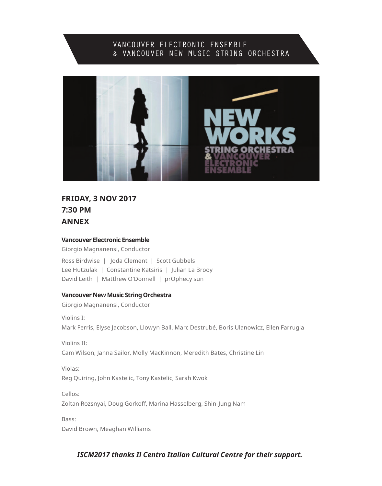## VANCOUVER ELECTRONIC ENSEMBLE & VANCOUVER NEW MUSIC STRING ORCHESTRA



## **FRIDAY, 3 NOV 2017 7:30 PM ANNEX**

#### **Vancouver Electronic Ensemble**

Giorgio Magnanensi, Conductor

Ross Birdwise | Joda Clement | Scott Gubbels Lee Hutzulak | Constantine Katsiris | Julian La Brooy David Leith | Matthew O'Donnell | prOphecy sun

#### **Vancouver New Music String Orchestra**

Giorgio Magnanensi, Conductor

Violins I:

Mark Ferris, Elyse Jacobson, Llowyn Ball, Marc Destrubé, Boris Ulanowicz, Ellen Farrugia

Violins II: Cam Wilson, Janna Sailor, Molly MacKinnon, Meredith Bates, Christine Lin

Violas: Reg Quiring, John Kastelic, Tony Kastelic, Sarah Kwok

Cellos: Zoltan Rozsnyai, Doug Gorkoff, Marina Hasselberg, Shin-Jung Nam

Bass: David Brown, Meaghan Williams

## *ISCM2017 thanks Il Centro Italian Cultural Centre for their support.*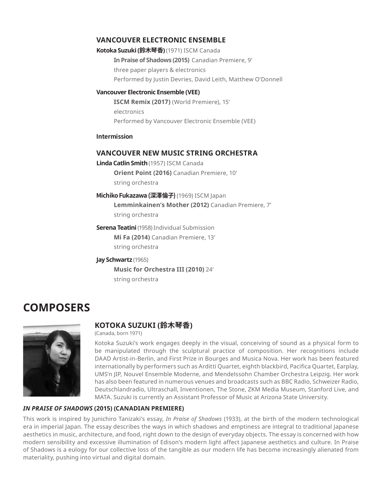## **VANCOUVER ELECTRONIC ENSEMBLE**

**Kotoka Suzuki (鈴木琴香)**(1971) ISCM Canada **In Praise of Shadows (2015)** Canadian Premiere, 9' three paper players & electronics Performed by Justin Devries, David Leith, Matthew O'Donnell

#### **Vancouver Electronic Ensemble (VEE)**

**ISCM Remix (2017)** (World Premiere), 15' electronics Performed by Vancouver Electronic Ensemble (VEE)

#### **Intermission**

## **VANCOUVER NEW MUSIC STRING ORCHESTRA**

**Linda Catlin Smith**(1957) ISCM Canada

**Orient Point (2016)** Canadian Premiere, 10' string orchestra

**Michiko Fukazawa (深澤倫子)**(1969) ISCM Japan **Lemminkainen's Mother (2012)** Canadian Premiere, 7' string orchestra

**Serena Teatini** (1958) Individual Submission **Mi Fa (2014)** Canadian Premiere, 13' string orchestra

#### **Jay Schwartz** (1965)

**Music for Orchestra III (2010)** 24' string orchestra

## **COMPOSERS**



## **KOTOKA SUZUKI (鈴木琴香)**

(Canada, born 1971)

Kotoka Suzuki's work engages deeply in the visual, conceiving of sound as a physical form to be manipulated through the sculptural practice of composition. Her recognitions include DAAD Artist-in-Berlin, and First Prize in Bourges and Musica Nova. Her work has been featured internationally by performers such as Arditti Quartet, eighth blackbird, Pacifica Quartet, Earplay, UMS'n JIP, Nouvel Ensemble Moderne, and Mendelssohn Chamber Orchestra Leipzig. Her work has also been featured in numerous venues and broadcasts such as BBC Radio, Schweizer Radio, Deutschlandradio, Ultraschall, Inventionen, The Stone, ZKM Media Museum, Stanford Live, and MATA. Suzuki is currently an Assistant Professor of Music at Arizona State University.

#### *IN PRAISE OF SHADOWS* **(2015) (CANADIAN PREMIERE)**

This work is inspired by Junichiro Tanizaki's essay, *In Praise of Shadows* (1933), at the birth of the modern technological era in imperial Japan. The essay describes the ways in which shadows and emptiness are integral to traditional Japanese aesthetics in music, architecture, and food, right down to the design of everyday objects. The essay is concerned with how modern sensibility and excessive illumination of Edison's modern light affect Japanese aesthetics and culture. In Praise of Shadows is a eulogy for our collective loss of the tangible as our modern life has become increasingly alienated from materiality, pushing into virtual and digital domain.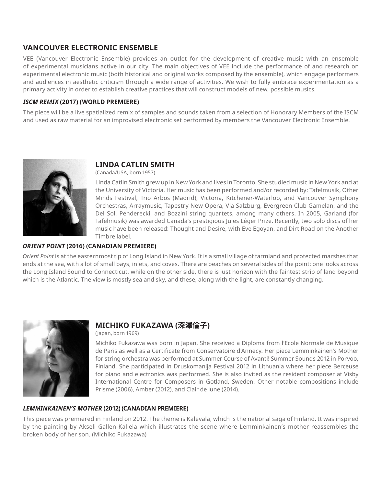## **VANCOUVER ELECTRONIC ENSEMBLE**

VEE (Vancouver Electronic Ensemble) provides an outlet for the development of creative music with an ensemble of experimental musicians active in our city. The main objectives of VEE include the performance of and research on experimental electronic music (both historical and original works composed by the ensemble), which engage performers and audiences in aesthetic criticism through a wide range of activities. We wish to fully embrace experimentation as a primary activity in order to establish creative practices that will construct models of new, possible musics.

#### *ISCM REMIX* **(2017) (WORLD PREMIERE)**

The piece will be a live spatialized remix of samples and sounds taken from a selection of Honorary Members of the ISCM and used as raw material for an improvised electronic set performed by members the Vancouver Electronic Ensemble.



## **LINDA CATLIN SMITH**

(Canada/USA, born 1957)

Linda Catlin Smith grew up in New York and lives in Toronto. She studied music in New York and at the University of Victoria. Her music has been performed and/or recorded by: Tafelmusik, Other Minds Festival, Trio Arbos (Madrid), Victoria, Kitchener-Waterloo, and Vancouver Symphony Orchestras, Arraymusic, Tapestry New Opera, Via Salzburg, Evergreen Club Gamelan, and the Del Sol, Penderecki, and Bozzini string quartets, among many others. In 2005, Garland (for Tafelmusik) was awarded Canada's prestigious Jules Léger Prize. Recently, two solo discs of her music have been released: Thought and Desire, with Eve Egoyan, and Dirt Road on the Another Timbre label.

#### *ORIENT POINT* **(2016) (CANADIAN PREMIERE)**

*Orient Point* is at the easternmost tip of Long Island in New York. It is a small village of farmland and protected marshes that ends at the sea, with a lot of small bays, inlets, and coves. There are beaches on several sides of the point: one looks across the Long Island Sound to Connecticut, while on the other side, there is just horizon with the faintest strip of land beyond which is the Atlantic. The view is mostly sea and sky, and these, along with the light, are constantly changing.



## **MICHIKO FUKAZAWA (深澤倫子)**

(Japan, born 1969)

Michiko Fukazawa was born in Japan. She received a Diploma from l'Ecole Normale de Musique de Paris as well as a Certificate from Conservatoire d'Annecy. Her piece Lemminkainen's Mother for string orchestra was performed at Summer Course of Avanti! Summer Sounds 2012 in Porvoo, Finland. She participated in Druskomanija Festival 2012 in Lithuania where her piece Berceuse for piano and electronics was performed. She is also invited as the resident composer at Visby International Centre for Composers in Gotland, Sweden. Other notable compositions include Prisme (2006), Amber (2012), and Clair de lune (2014).

## *LEMMINKAINEN'S MOTHER* **(2012) (CANADIAN PREMIERE)**

This piece was premiered in Finland on 2012. The theme is Kalevala, which is the national saga of Finland. It was inspired by the painting by Akseli Gallen-Kallela which illustrates the scene where Lemminkainen's mother reassembles the broken body of her son. (Michiko Fukazawa)